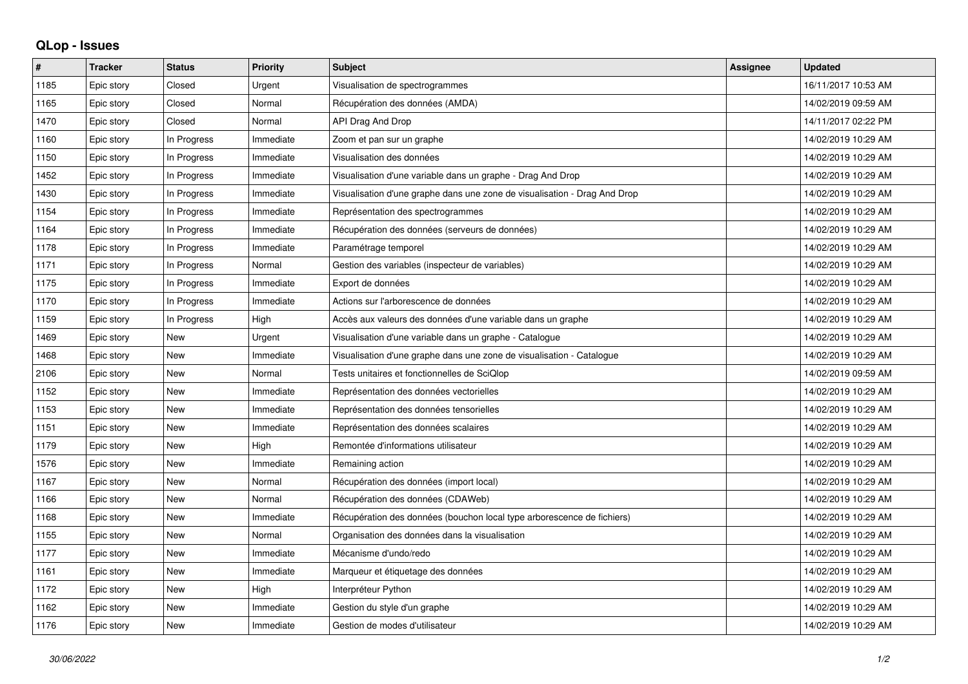## **QLop - Issues**

| $\sharp$ | <b>Tracker</b> | <b>Status</b> | <b>Priority</b> | <b>Subject</b>                                                            | Assignee | <b>Updated</b>      |
|----------|----------------|---------------|-----------------|---------------------------------------------------------------------------|----------|---------------------|
| 1185     | Epic story     | Closed        | Urgent          | Visualisation de spectrogrammes                                           |          | 16/11/2017 10:53 AM |
| 1165     | Epic story     | Closed        | Normal          | Récupération des données (AMDA)                                           |          | 14/02/2019 09:59 AM |
| 1470     | Epic story     | Closed        | Normal          | API Drag And Drop                                                         |          | 14/11/2017 02:22 PM |
| 1160     | Epic story     | In Progress   | Immediate       | Zoom et pan sur un graphe                                                 |          | 14/02/2019 10:29 AM |
| 1150     | Epic story     | In Progress   | Immediate       | Visualisation des données                                                 |          | 14/02/2019 10:29 AM |
| 1452     | Epic story     | In Progress   | Immediate       | Visualisation d'une variable dans un graphe - Drag And Drop               |          | 14/02/2019 10:29 AM |
| 1430     | Epic story     | In Progress   | Immediate       | Visualisation d'une graphe dans une zone de visualisation - Drag And Drop |          | 14/02/2019 10:29 AM |
| 1154     | Epic story     | In Progress   | Immediate       | Représentation des spectrogrammes                                         |          | 14/02/2019 10:29 AM |
| 1164     | Epic story     | In Progress   | Immediate       | Récupération des données (serveurs de données)                            |          | 14/02/2019 10:29 AM |
| 1178     | Epic story     | In Progress   | Immediate       | Paramétrage temporel                                                      |          | 14/02/2019 10:29 AM |
| 1171     | Epic story     | In Progress   | Normal          | Gestion des variables (inspecteur de variables)                           |          | 14/02/2019 10:29 AM |
| 1175     | Epic story     | In Progress   | Immediate       | Export de données                                                         |          | 14/02/2019 10:29 AM |
| 1170     | Epic story     | In Progress   | Immediate       | Actions sur l'arborescence de données                                     |          | 14/02/2019 10:29 AM |
| 1159     | Epic story     | In Progress   | High            | Accès aux valeurs des données d'une variable dans un graphe               |          | 14/02/2019 10:29 AM |
| 1469     | Epic story     | <b>New</b>    | Urgent          | Visualisation d'une variable dans un graphe - Catalogue                   |          | 14/02/2019 10:29 AM |
| 1468     | Epic story     | <b>New</b>    | Immediate       | Visualisation d'une graphe dans une zone de visualisation - Catalogue     |          | 14/02/2019 10:29 AM |
| 2106     | Epic story     | <b>New</b>    | Normal          | Tests unitaires et fonctionnelles de SciQlop                              |          | 14/02/2019 09:59 AM |
| 1152     | Epic story     | <b>New</b>    | Immediate       | Représentation des données vectorielles                                   |          | 14/02/2019 10:29 AM |
| 1153     | Epic story     | <b>New</b>    | Immediate       | Représentation des données tensorielles                                   |          | 14/02/2019 10:29 AM |
| 1151     | Epic story     | <b>New</b>    | Immediate       | Représentation des données scalaires                                      |          | 14/02/2019 10:29 AM |
| 1179     | Epic story     | <b>New</b>    | High            | Remontée d'informations utilisateur                                       |          | 14/02/2019 10:29 AM |
| 1576     | Epic story     | <b>New</b>    | Immediate       | Remaining action                                                          |          | 14/02/2019 10:29 AM |
| 1167     | Epic story     | <b>New</b>    | Normal          | Récupération des données (import local)                                   |          | 14/02/2019 10:29 AM |
| 1166     | Epic story     | <b>New</b>    | Normal          | Récupération des données (CDAWeb)                                         |          | 14/02/2019 10:29 AM |
| 1168     | Epic story     | <b>New</b>    | Immediate       | Récupération des données (bouchon local type arborescence de fichiers)    |          | 14/02/2019 10:29 AM |
| 1155     | Epic story     | <b>New</b>    | Normal          | Organisation des données dans la visualisation                            |          | 14/02/2019 10:29 AM |
| 1177     | Epic story     | <b>New</b>    | Immediate       | Mécanisme d'undo/redo                                                     |          | 14/02/2019 10:29 AM |
| 1161     | Epic story     | <b>New</b>    | Immediate       | Marqueur et étiquetage des données                                        |          | 14/02/2019 10:29 AM |
| 1172     | Epic story     | <b>New</b>    | High            | Interpréteur Python                                                       |          | 14/02/2019 10:29 AM |
| 1162     | Epic story     | <b>New</b>    | Immediate       | Gestion du style d'un graphe                                              |          | 14/02/2019 10:29 AM |
| 1176     | Epic story     | <b>New</b>    | Immediate       | Gestion de modes d'utilisateur                                            |          | 14/02/2019 10:29 AM |